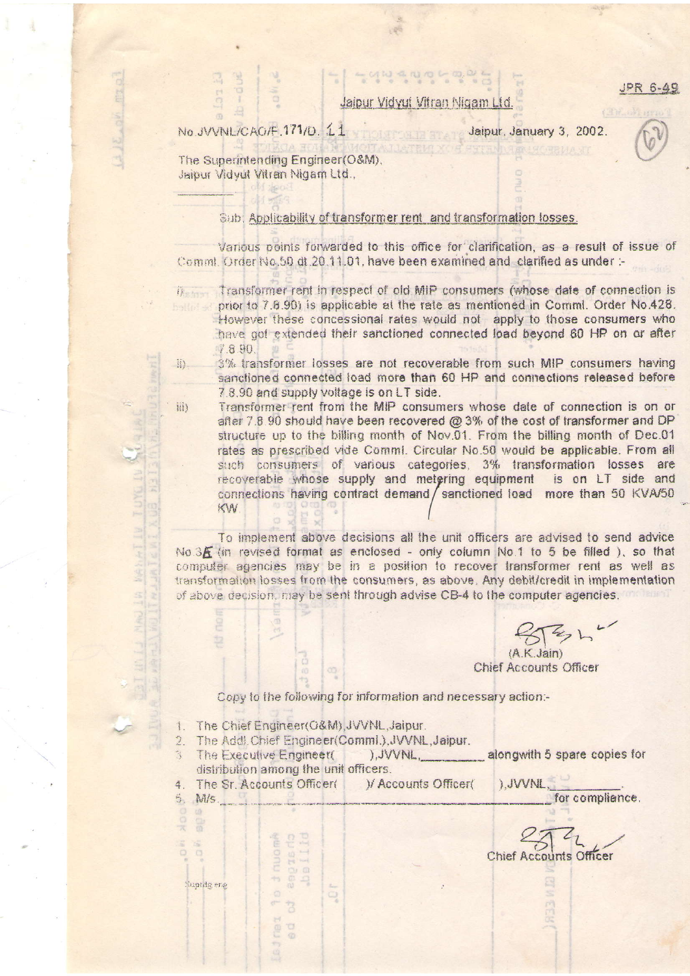**JPR 6-49** 

Jaipur Vidvut Vitran Nigam Ltd.

No.JVVNL/CAO/F.171/D. 11

## Jaipur, January 3, 2002.

The Superintending Engineer(O&M). Jaipur Vidvut Vitran Nigam Ltd.,

## Sub: Applicability of transformer rent and transformation losses.

Various points forwarded to this office for clarification, as a result of issue of Comml. Order No.50 dt.20.11.01, have been examined and clarified as under :-

i) Transformer rent in respect of old MIP consumers (whose date of connection is prior to 7.8.90) is applicable at the rate as mentioned in Comml. Order No.428. However these concessional rates would not apply to those consumers who have got extended their sanctioned connected load beyond 60 HP on or after 7.8.90.

3% transformer losses are not recoverable from such MIP consumers having **WY** sanctioned connected load more than 60 HP and connections released before 7.8.90 and supply voltage is on LT side.

Transformer rent from the MIP consumers whose date of connection is on or after 7.8.90 should have been recovered @ 3% of the cost of transformer and DP structure up to the billing month of Nov.01. From the billing month of Dec.01 rates as prescribed vide Commi. Circular No.50 would be applicable. From all such consumers of various categories. 3% transformation losses are recoverable whose supply and metering equipment is on LT side and connections having contract demand / sanctioned load more than 50 KVA/50 KW

To implement above decisions all the unit officers are advised to send advice No.3E (in revised format as enclosed - only column No.1 to 5 be filled ), so that computer agencies may be in a position to recover transformer rent as well as transformation losses from the consumers, as above. Any debit/credit in implementation of above decision, may be sent through advise CB-4 to the computer agencies.

 $(AKJain)$ 

**Chief Accounts Officer** 

Copy to the following for information and necessary action:-

1. The Chief Engineer(O&M), JVVNL, Jaipur.

muor

eag

 $\Box$ Cle  $\odot$ 

- 2. The Addl Chief Engineer(Comml.), JVVNL, Jaipur.
- The Executive Engineer( ), JVVNL, alongwith 5 spare copies for  $\mathbb{R}^2$ distribution among the unit officers. ), JVVNL,
- The Sr. Accounts Officer( )/ Accounts Officer(  $\bar{a}$
- 5. M/s.

Suptdg erg

iii)

Chief Accounts Officer

for compliance.